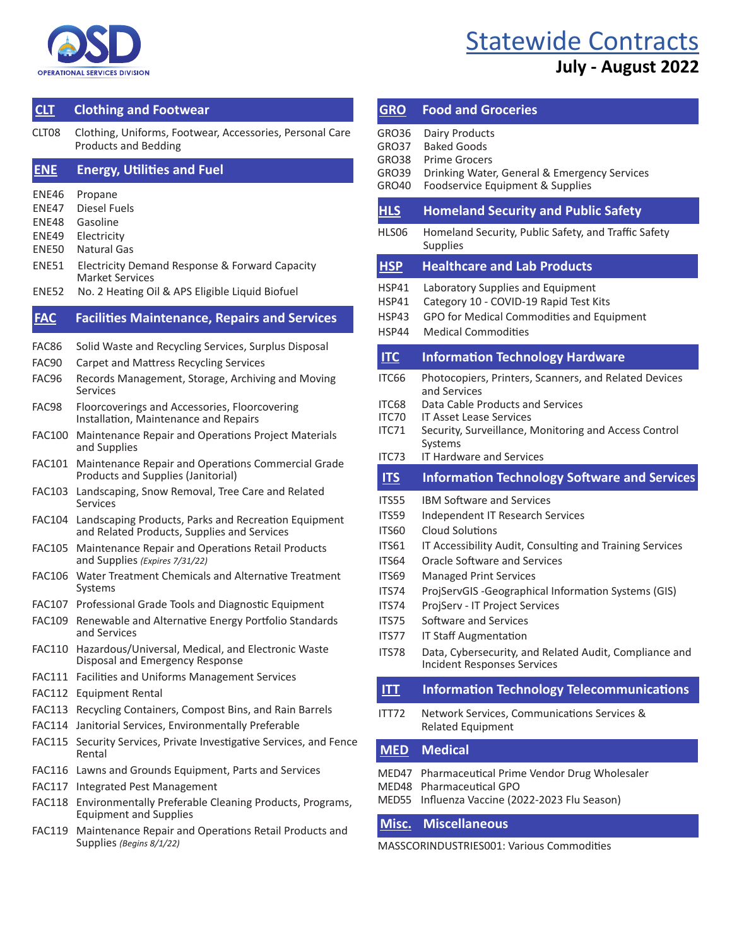

# **[Statewide Contracts](https://www.mass.gov/service-details/find-a-statewide-contract-user-guide)**

## **July - August 2022**

### **[CLT](https://www.mass.gov/service-details/clothing-and-footwear) Clothing and Footwear**

CLT08 Clothing, Uniforms, Footwear, Accessories, Personal Care Products and Bedding

#### **[ENE](https://www.mass.gov/service-details/energy-utilities-and-fuel) Energy, Utilities and Fuel**

- ENE46 Propane
- ENE47 Diesel Fuels
- ENE48 Gasoline
- ENE49 Electricity
- ENE50 Natural Gas
- ENE51 Electricity Demand Response & Forward Capacity Market Services
- ENE52 No. 2 Heating Oil & APS Eligible Liquid Biofuel

#### **[FAC](https://www.mass.gov/service-details/facilities-maintenance-repair-and-services) Facilities Maintenance, Repair, and Services FAC Facilities Maintenance, Repairs and Services**

- FAC86 Solid Waste and Recycling Services, Surplus Disposal
- FAC90 Carpet and Mattress Recycling Services
- FAC96 Records Management, Storage, Archiving and Moving Services
- FAC98 Floorcoverings and Accessories, Floorcovering Installation, Maintenance and Repairs
- FAC100 Maintenance Repair and Operations Project Materials and Supplies
- FAC101 Maintenance Repair and Operations Commercial Grade Products and Supplies (Janitorial)
- FAC103 Landscaping, Snow Removal, Tree Care and Related Services
- FAC104 Landscaping Products, Parks and Recreation Equipment and Related Products, Supplies and Services
- FAC105 Maintenance Repair and Operations Retail Products and Supplies *(Expires 7/31/22)*
- FAC106 Water Treatment Chemicals and Alternative Treatment Systems
- FAC107 Professional Grade Tools and Diagnostic Equipment
- FAC109 Renewable and Alternative Energy Portfolio Standards and Services
- FAC110 Hazardous/Universal, Medical, and Electronic Waste Disposal and Emergency Response
- FAC111 Facilities and Uniforms Management Services
- FAC112 Equipment Rental
- FAC113 Recycling Containers, Compost Bins, and Rain Barrels
- FAC114 Janitorial Services, Environmentally Preferable
- FAC115 Security Services, Private Investigative Services, and Fence Rental
- FAC116 Lawns and Grounds Equipment, Parts and Services
- FAC117 Integrated Pest Management
- FAC118 Environmentally Preferable Cleaning Products, Programs, Equipment and Supplies
- FAC119 Maintenance Repair and Operations Retail Products and Supplies *(Begins 8/1/22)*

| <b>GRO</b>                                                                                                                         | <b>Food and Groceries</b>                                                                                                                                                                                                                                                                                                                                                                                                                                                                                                                 |
|------------------------------------------------------------------------------------------------------------------------------------|-------------------------------------------------------------------------------------------------------------------------------------------------------------------------------------------------------------------------------------------------------------------------------------------------------------------------------------------------------------------------------------------------------------------------------------------------------------------------------------------------------------------------------------------|
| GRO36<br>GRO37<br>GRO38<br>GRO39<br><b>GRO40</b>                                                                                   | Dairy Products<br><b>Baked Goods</b><br><b>Prime Grocers</b><br>Drinking Water, General & Emergency Services<br>Foodservice Equipment & Supplies                                                                                                                                                                                                                                                                                                                                                                                          |
| <b>HLS</b>                                                                                                                         | <b>Homeland Security and Public Safety</b>                                                                                                                                                                                                                                                                                                                                                                                                                                                                                                |
| HLS06                                                                                                                              | Homeland Security, Public Safety, and Traffic Safety<br>Supplies                                                                                                                                                                                                                                                                                                                                                                                                                                                                          |
| <b>HSP</b>                                                                                                                         | <b>Healthcare and Lab Products</b>                                                                                                                                                                                                                                                                                                                                                                                                                                                                                                        |
| HSP41<br><b>HSP41</b><br><b>HSP43</b><br>HSP44                                                                                     | Laboratory Supplies and Equipment<br>Category 10 - COVID-19 Rapid Test Kits<br>GPO for Medical Commodities and Equipment<br><b>Medical Commodities</b>                                                                                                                                                                                                                                                                                                                                                                                    |
| ILC                                                                                                                                | <b>Information Technology Hardware</b>                                                                                                                                                                                                                                                                                                                                                                                                                                                                                                    |
| ITC66<br>ITC68<br>ITC70<br>ITC71<br>ITC73                                                                                          | Photocopiers, Printers, Scanners, and Related Devices<br>and Services<br>Data Cable Products and Services<br><b>IT Asset Lease Services</b><br>Security, Surveillance, Monitoring and Access Control<br>Systems<br><b>IT Hardware and Services</b>                                                                                                                                                                                                                                                                                        |
| IIS                                                                                                                                | <b>Information Technology Software and Services</b>                                                                                                                                                                                                                                                                                                                                                                                                                                                                                       |
| ITS55<br>ITS59<br><b>ITS60</b><br><b>ITS61</b><br><b>ITS64</b><br><b>ITS69</b><br>ITS74<br>ITS74<br>ITS75<br>ITS77<br>ITS78<br>ITT | <b>IBM Software and Services</b><br>Independent IT Research Services<br><b>Cloud Solutions</b><br>IT Accessibility Audit, Consulting and Training Services<br><b>Oracle Software and Services</b><br><b>Managed Print Services</b><br>ProjServGIS - Geographical Information Systems (GIS)<br>ProjServ - IT Project Services<br>Software and Services<br><b>IT Staff Augmentation</b><br>Data, Cybersecurity, and Related Audit, Compliance and<br><b>Incident Responses Services</b><br><b>Information Technology Telecommunications</b> |
|                                                                                                                                    |                                                                                                                                                                                                                                                                                                                                                                                                                                                                                                                                           |
| ITT72                                                                                                                              | Network Services, Communications Services &<br><b>Related Equipment</b>                                                                                                                                                                                                                                                                                                                                                                                                                                                                   |
| <b>MED</b>                                                                                                                         | <b>Medical</b>                                                                                                                                                                                                                                                                                                                                                                                                                                                                                                                            |
| MED47<br>MED48                                                                                                                     | Pharmaceutical Prime Vendor Drug Wholesaler<br><b>Pharmaceutical GPO</b>                                                                                                                                                                                                                                                                                                                                                                                                                                                                  |

MED55 Influenza Vaccine (2022-2023 Flu Season)

### **[Misc.](https://www.mass.gov/doc/off44/download) [Miscellaneous](http://www.mass.gov/anf/budget-taxes-and-procurement/procurement-info-and-res/buy-from-a-state-contract/statewide-contract-user-guides.html)**

MASSCORINDUSTRIES001: Various Commodities